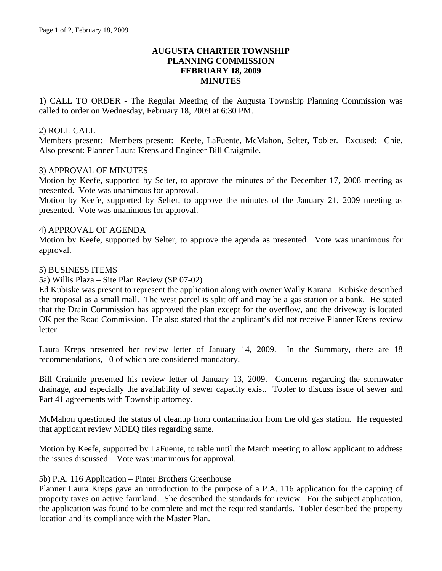## **AUGUSTA CHARTER TOWNSHIP PLANNING COMMISSION FEBRUARY 18, 2009 MINUTES**

1) CALL TO ORDER - The Regular Meeting of the Augusta Township Planning Commission was called to order on Wednesday, February 18, 2009 at 6:30 PM.

### 2) ROLL CALL

Members present: Members present: Keefe, LaFuente, McMahon, Selter, Tobler. Excused: Chie. Also present: Planner Laura Kreps and Engineer Bill Craigmile.

#### 3) APPROVAL OF MINUTES

Motion by Keefe, supported by Selter, to approve the minutes of the December 17, 2008 meeting as presented. Vote was unanimous for approval.

Motion by Keefe, supported by Selter, to approve the minutes of the January 21, 2009 meeting as presented. Vote was unanimous for approval.

#### 4) APPROVAL OF AGENDA

Motion by Keefe, supported by Selter, to approve the agenda as presented. Vote was unanimous for approval.

#### 5) BUSINESS ITEMS

5a) Willis Plaza – Site Plan Review (SP 07-02)

Ed Kubiske was present to represent the application along with owner Wally Karana. Kubiske described the proposal as a small mall. The west parcel is split off and may be a gas station or a bank. He stated that the Drain Commission has approved the plan except for the overflow, and the driveway is located OK per the Road Commission. He also stated that the applicant's did not receive Planner Kreps review letter.

Laura Kreps presented her review letter of January 14, 2009. In the Summary, there are 18 recommendations, 10 of which are considered mandatory.

Bill Craimile presented his review letter of January 13, 2009. Concerns regarding the stormwater drainage, and especially the availability of sewer capacity exist. Tobler to discuss issue of sewer and Part 41 agreements with Township attorney.

McMahon questioned the status of cleanup from contamination from the old gas station. He requested that applicant review MDEQ files regarding same.

Motion by Keefe, supported by LaFuente, to table until the March meeting to allow applicant to address the issues discussed. Vote was unanimous for approval.

#### 5b) P.A. 116 Application – Pinter Brothers Greenhouse

Planner Laura Kreps gave an introduction to the purpose of a P.A. 116 application for the capping of property taxes on active farmland. She described the standards for review. For the subject application, the application was found to be complete and met the required standards. Tobler described the property location and its compliance with the Master Plan.